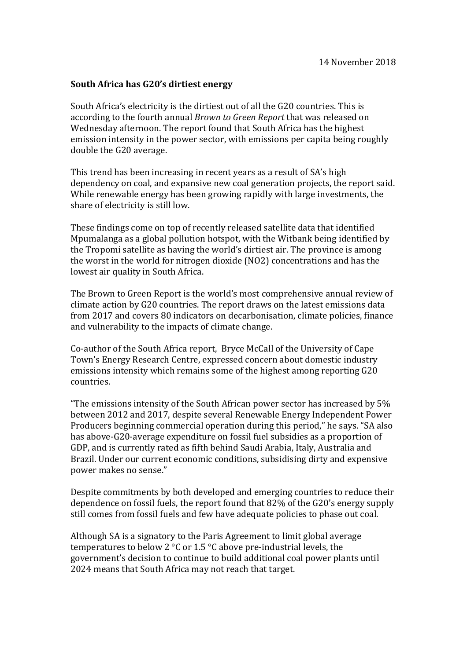## **South Africa has G20's dirtiest energy**

South Africa's electricity is the dirtiest out of all the G20 countries. This is according to the fourth annual *Brown to Green Report* that was released on Wednesday afternoon. The report found that South Africa has the highest emission intensity in the power sector, with emissions per capita being roughly double the G20 average.

This trend has been increasing in recent years as a result of SA's high dependency on coal, and expansive new coal generation projects, the report said. While renewable energy has been growing rapidly with large investments, the share of electricity is still low.

These findings come on top of recently released satellite data that identified Mpumalanga as a global pollution hotspot, with the Witbank being identified by the Tropomi satellite as having the world's dirtiest air. The province is among the worst in the world for nitrogen dioxide (NO2) concentrations and has the lowest air quality in South Africa.

The Brown to Green Report is the world's most comprehensive annual review of climate action by G20 countries. The report draws on the latest emissions data from 2017 and covers 80 indicators on decarbonisation, climate policies, finance and vulnerability to the impacts of climate change.

Co-author of the South Africa report, Bryce McCall of the University of Cape Town's Energy Research Centre, expressed concern about domestic industry emissions intensity which remains some of the highest among reporting G20 countries.

"The emissions intensity of the South African power sector has increased by 5% between 2012 and 2017, despite several Renewable Energy Independent Power Producers beginning commercial operation during this period," he says. "SA also has above-G20-average expenditure on fossil fuel subsidies as a proportion of GDP, and is currently rated as fifth behind Saudi Arabia, Italy, Australia and Brazil. Under our current economic conditions, subsidising dirty and expensive power makes no sense."

Despite commitments by both developed and emerging countries to reduce their dependence on fossil fuels, the report found that 82% of the G20's energy supply still comes from fossil fuels and few have adequate policies to phase out coal.

Although SA is a signatory to the Paris Agreement to limit global average temperatures to below 2 °C or 1.5 °C above pre-industrial levels, the government's decision to continue to build additional coal power plants until 2024 means that South Africa may not reach that target.